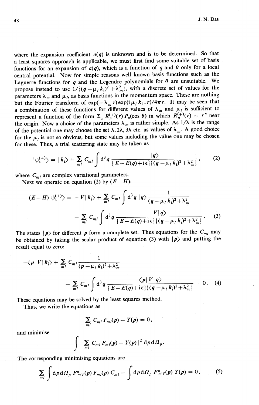where the expansion coefficient  $a(q)$  is unknown and is to be determined. So that a least squares approach is applicable, we must first find some suitable set of basis functions for an expansion of  $a(q)$ , which is a function of q and  $\theta$  only for a local central potential. Now for simple reasons well known basis functions such as the Laguerre functions for *q* and the Legendre polynomials for  $\theta$  are unsuitable. We propose instead to use  $1/((q - \mu_k k_i)^2 + \lambda_m^2)$ , with a discrete set of values for the parameters  $\lambda_m$  and  $\mu_l$ , as basis functions in the momentum space. These are nothing but the Fourier transform of  $\exp(-\lambda_m r) \exp(i\mu_l k_i r)/4\pi r$ . It may be seen that a combination of these functions for different values of  $\lambda_m$  and  $\mu_l$  is sufficient to represent a function of the form  $\Sigma_n R_n^{(+)}(r) P_n(\cos \theta)$  in which  $R_n^{(+)}(r) \sim r^n$  near the origin. Now a choice of the parameters  $\lambda_m$  is rather simple. As  $1/\lambda$  is the range of the potential one may choose the set  $\lambda$ , 2 $\lambda$ , 3 $\lambda$  etc. as values of  $\lambda_m$ . A good choice for the  $\mu_l$  is not so obvious, but some values including the value one may be chosen for these. Thus, a trial scattering state may be taken as

$$
|\psi_{t}^{(+)}\rangle=|k_{i}\rangle+\sum_{ml}C_{ml}\int d^{3}q\frac{|q\rangle}{\{E-E(q)+i\epsilon\}\{(q-\mu_{l}k_{i})^{2}+\lambda_{m}^{2}\}},
$$
 (2)

where  $C_{m}$  are complex variational parameters.

Next we operate on equation (2) by  $(E - H)$ :

$$
(E-H)|\psi_t^{(+)}\rangle = -V|k_i\rangle + \sum_{ml} C_{ml} \int \mathrm{d}^3 q |q\rangle \frac{1}{(q-\mu_l k_i)^2 + \lambda_m^2}
$$

$$
- \sum_{ml} C_{ml} \int \mathrm{d}^3 q \frac{V|q\rangle}{\{E - E(q) + i\epsilon\} \{(q-\mu_l k_i)^2 + \lambda_m^2\}}. \tag{3}
$$

The states  $|p\rangle$  for different p form a complete set. Thus equations for the  $C_{ml}$  may be obtained by taking the scalar product of equation (3) with  $|p\rangle$  and putting the result equal to zero:

$$
-\langle p|V|k_{i}\rangle + \sum_{ml} C_{ml} \frac{1}{(p - \mu_{l} k_{i})^{2} + \lambda_{m}^{2}}
$$
  
- 
$$
\sum_{ml} C_{ml} \int d^{3}q \frac{\langle p|V|q\rangle}{\{E - E(q) + i\epsilon\} \{(q - \mu_{l} k_{i})^{2} + \lambda_{m}^{2}\}} = 0.
$$
 (4)

These equations may be solved by the least squares method.

Thus, we write the equations as

$$
\sum_{ml} C_{ml} F_{ml}(p) - Y(p) = 0,
$$

and minimise 
$$
\int \left| \sum_{ml} C_{ml} F_{ml}(p) - Y(p) \right|^2 d\rho d\Omega_p.
$$

The corresponding minimising equations are

$$
\sum_{m l} \int \mathrm{d}p \, \mathrm{d}\Omega_p \, F_{m'l}^*(p) \, F_{m}(p) \, C_{m l} - \int \mathrm{d}p \, \mathrm{d}\Omega_p \, F_{m'l}^*(p) \, Y(p) = 0, \tag{5}
$$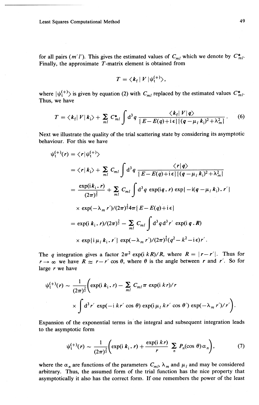for all pairs (m'l'). This gives the estimated values of  $C_{ml}$  which we denote by  $C_{ml}^*$ . Finally, the approximate *T-matrix* element is obtained from

$$
T = \langle k_{\rm f} | V | \psi_{\rm t}^{(+)} \rangle,
$$

where  $|\psi_{t}^{(+)}\rangle$  is given by equation (2) with  $C_{ml}$  replaced by the estimated values  $C_{ml}^*$ . Thus, we have

$$
T = \langle k_{\rm f} | V | k_{\rm i} \rangle + \sum_{ml} C_{ml}^* \int d^3q \frac{\langle k_{\rm f} | V | q \rangle}{\{E - E(q) + i \epsilon\} \{ (q - \mu_l k_{\rm i})^2 + \lambda_m^2 \}}.
$$
 (6)

Next we illustrate the quality of the trial scattering state by considering its asymptotic behaviour. For this we have

$$
\psi_{t}^{(+)}(r) = \langle r | \psi_{t}^{(+)} \rangle
$$
  
\n
$$
= \langle r | k_{i} \rangle + \sum_{ml} C_{ml} \int d^{3}q \frac{\langle r | q \rangle}{\{E - E(q) + i\epsilon\} \{(q - \mu_{l} k_{i})^{2} + \lambda_{m}^{2}\}}
$$
  
\n
$$
= \frac{\exp(i k_{i} \cdot r)}{(2\pi)^{\frac{3}{2}}} + \sum_{ml} C_{ml} \int d^{3}q \exp(i q, r) \exp\{-i(q - \mu_{l} k_{i}) \cdot r'\}
$$
  
\n
$$
\times \exp(-\lambda_{m} r')/(2\pi)^{\frac{3}{2}} 4\pi \{E - E(q) + i\epsilon\}
$$
  
\n
$$
= \exp(i k_{i} \cdot r)/(2\pi)^{\frac{3}{2}} - \sum_{ml} C_{ml} \int d^{3}q d^{3}r' \exp(i q \cdot R)
$$
  
\n
$$
\times \exp\{i \mu_{l} k_{i} \cdot r'\} \exp(-\lambda_{m} r')/(2\pi)^{\frac{5}{2}} (q^{2} - k^{2} - i\epsilon) r'.
$$

The *q* integration gives a factor  $2\pi^2 \exp(i kR)/R$ , where  $R = |r - r'|$ . Thus for  $r \rightarrow \infty$  we have  $R \approx r - r' \cos \theta$ , where  $\theta$  is the angle between *r* and *r'*. So for large *r* we have

$$
\psi_t^{(+)}(r) \sim \frac{1}{(2\pi)^{\frac{3}{2}}} \Biggl( \exp(i k_i, r) - \sum_{m l} C_{m l} \pi \exp(i k r) / r
$$
  
\$\times \int d^3 r' \exp(-i k r' \cos \theta) \exp(i \mu\_l k r' \cos \theta') \exp(-\lambda\_m r') / r' \Biggr).

Expansion of the exponential terms in the integral and subsequent integration leads to the asymptotic form

$$
\psi_t^{(+)}(r) \sim \frac{1}{(2\pi)^{\frac{3}{2}}} \bigg( \exp(i k_i, r) + \frac{\exp(i k r)}{r} \sum_n P_n(\cos \theta) \alpha_n \bigg), \tag{7}
$$

where the  $\alpha_n$  are functions of the parameters  $C_{m l}$ ,  $\lambda_m$  and  $\mu_l$  and may be considered arbitrary. Thus, the assumed form of the trial function has the nice property that asymptotically it also has the correct form. **If** one remembers the power of the least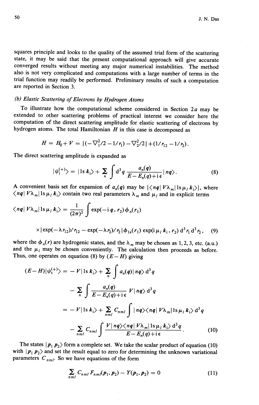squares principle and looks to the quality of the assumed trial form of the scattering state, it may be said that the present computational approach will give accurate converged results without meeting any major numerical instabilities. The method also is not very complicated and computations with a large number of terms in the trial function may readily be performed. Preliminary results of such a computation are reported in Section 3.

## *(b) Elastic Scattering of Electrons by Hydrogen Atoms*

To illustrate how the computational scheme considered in Section *2a* may be extended to other scattering problems of practical interest we consider here the computation of the direct scattering amplitude for elastic scattering of electrons by hydrogen atoms. The total Hamiltonian  $H$  in this case is decomposed as

$$
H = H_0 + V = \{(-\nabla_1^2/2 - 1/r_1) - \nabla_2^2/2\} + (1/r_{12} - 1/r_2).
$$

The direct scattering amplitude is expanded as

$$
|\psi_1^{(+)}\rangle = |1s \ k_1\rangle + \sum_n \int d^3q \ \frac{a_n(q)}{E - E_n(q) + i\epsilon} |nq\rangle.
$$
 (8)

A convenient basis set for expansion of  $a_n(q)$  may be  $\{\langle nq | V\lambda_m | 1s \mu_l k_i \rangle\}$ , where  $\langle nq | V \lambda_m | 1s \mu_l k_i \rangle$  contain two real parameters  $\lambda_m$  and  $\mu_l$  and in explicit terms

$$
\langle nq|V\lambda_{m}|1s\mu_{l}k_{i}\rangle = \frac{1}{(2\pi)^{3}}\int \exp(-i q \cdot r_{2})\phi_{n}(r_{1})
$$
  
 
$$
\times \{\exp(-\lambda r_{12})/r_{12} - \exp(-\lambda r_{2})/r_{2}\}\phi_{1s}(r_{1})\exp(i \mu_{l} k_{i} \cdot r_{2}) d^{3} r_{1} d^{3} r_{2}, \quad (9)
$$

where the  $\phi_n(r)$  are hydrogenic states, and the  $\lambda_m$  may be chosen as 1, 2, 3, etc. (a.u.) and the  $\mu_l$  may be chosen conveniently. The calculation then proceeds as before. Thus, one operates on equation (8) by  $(E - H)$  giving

$$
(E - H)|\psi_{t}^{(+)}\rangle = -V|\ln k_{i}\rangle + \sum_{n} \int a_{n}(q)|nq\rangle d^{3}q
$$
  

$$
- \sum_{n} \int \frac{a_{n}(q)}{E - E_{n}(q) + i\epsilon} V|nq\rangle d^{3}q
$$
  

$$
= -V|\ln k_{i}\rangle + \sum_{nml} C_{nml} \int |nq\rangle \langle nq| V\lambda_{m}|\ln \mu_{l} k_{i}\rangle d^{3}q
$$
  

$$
- \sum_{nml} C_{nml} \int \frac{V|nq\rangle \langle nq| V\lambda_{m}|\ln \mu_{l} k_{i}\rangle d^{3}q}{E - E_{n}(q) + i\epsilon}.
$$
 (10)

The states  $|p_1 p_2\rangle$  form a complete set. We take the scalar product of equation (10) with  $|p_1 p_2\rangle$  and set the result equal to zero for determining the unknown variational parameters  $C_{nml}$ . So we have equations of the form

$$
\sum_{nml} C_{nml} F_{nml}(\pmb{p}_1, \pmb{p}_2) - Y(\pmb{p}_1, \pmb{p}_2) = 0 \tag{11}
$$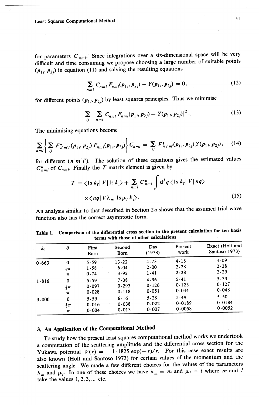Least Squares Computational Method 51

for parameters  $C_{nml}$ . Since integrations over a six-dimensional space will be very difficult and time consuming we propose choosing a large number of suitable points  $(p_1, p_2)$  in equation (11) and solving the resulting equations

$$
\sum_{nml} C_{nml} F_{nml}(\mathbf{p}_{1i}, \mathbf{p}_{2j}) - Y(\mathbf{p}_{1i}, \mathbf{p}_{2j}) = 0, \qquad (12)
$$

for different points  $(p_{1i}, p_{2j})$  by least squares principles. Thus we minimise

$$
\sum_{ij} \left| \sum_{nml} C_{nml} F_{nml}(p_{1i}, p_{2j}) - Y(p_{1i}, p_{2j}) \right|^2. \tag{13}
$$

The minimising equations become

$$
\sum_{nml} \left\{ \sum_{ij} F_{n'm'l}^*(p_{1i}, p_{2j}) F_{nml}(p_{1i}, p_{2j}) \right\} C_{nml} = \sum_{ij} F_{n'l'm'}^*(p_{1i}, p_{2j}) Y(p_{1i}, p_{2j}), \quad (14)
$$

for different  $(n'm'l')$ . The solution of these equations gives the estimated values  $C^*_{nml}$  of  $C_{nml}$ . Finally the T-matrix element is given by

$$
T = \langle \operatorname{1s} k_{\mathrm{f}} | V | \operatorname{1s} k_{\mathrm{i}} \rangle + \sum_{nml} C_{nml}^{*} \int \mathrm{d}^{3} q \langle \operatorname{1s} k_{\mathrm{f}} | V | nq \rangle
$$
  
 
$$
\times \langle nq | V \lambda_{m} | \operatorname{1s} \mu_{l} k_{\mathrm{i}} \rangle. \tag{15}
$$

An analysis similar to that described in Section *20* shows that the assumed trial wave function also has the correct asymptotic form.

| $k_{\rm i}$ | $\theta$                                     | First<br>Born          | Second<br>Born         | Das<br>(1978)          | Present<br>work          | Exact (Holt and<br>Santoso 1973) |
|-------------|----------------------------------------------|------------------------|------------------------|------------------------|--------------------------|----------------------------------|
| 0.663       | 0<br>$\frac{1}{2}\pi$                        | 5.59<br>1.58<br>0.74   | 13.22<br>6.04<br>3.92  | 4.73<br>2.00<br>1.41   | 4.18<br>2.28<br>2.28     | 4.09<br>2.28<br>2.29             |
| 1.816       | $\pi$<br>$\bf{0}$<br>$rac{1}{2}\pi$          | 5.59<br>0.097<br>0.028 | 7.08<br>0.293<br>0.118 | 4.96<br>0.126<br>0.051 | 5.41<br>0.123<br>0.044   | 5.33<br>0.127<br>0.048           |
| 3.000       | $\pi$<br>$\bf{0}$<br>$rac{1}{2}\pi$<br>$\pi$ | 5.59<br>0.016<br>0.004 | 6.16<br>0.038<br>0.013 | 5.28<br>0.022<br>0.007 | 5.49<br>0.0189<br>0.0058 | 5.50<br>0.0184<br>0.0052         |

| Table 1. Comparison of the differential cross section in the present calculation for ten basi- |  |
|------------------------------------------------------------------------------------------------|--|
| terms with those of other calculations                                                         |  |

## 3. An Application of the Computational Method

To study how the present least squares computational method works we undertook a computation of the scattering amplitude and the differential cross section for the Yukawa potential  $V(r) = -1.1825 \exp(-r)/r$ . For this case exact results are also known (Holt and Santoso 1973) for certain values of the momentum and the scattering angle. We made a few different choices for the values of the parameters  $\lambda_m$  and  $\mu_l$ . In one of these choices we have  $\lambda_m = m$  and  $\mu_l = l$  where *m* and *l* take the values  $1, 2, 3, \ldots$  etc.